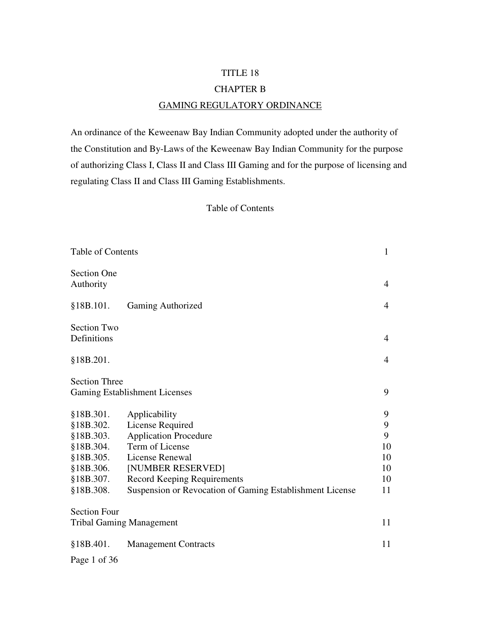#### TITLE 18

#### CHAPTER B

#### GAMING REGULATORY ORDINANCE

An ordinance of the Keweenaw Bay Indian Community adopted under the authority of the Constitution and By-Laws of the Keweenaw Bay Indian Community for the purpose of authorizing Class I, Class II and Class III Gaming and for the purpose of licensing and regulating Class II and Class III Gaming Establishments.

#### Table of Contents

| <b>Table of Contents</b>                                     |                                                          |                |
|--------------------------------------------------------------|----------------------------------------------------------|----------------|
| <b>Section One</b><br>Authority                              |                                                          | $\overline{4}$ |
| §18B.101.                                                    | <b>Gaming Authorized</b>                                 | $\overline{4}$ |
| <b>Section Two</b><br>Definitions                            |                                                          | 4              |
| §18B.201.                                                    |                                                          | $\overline{4}$ |
| <b>Section Three</b><br><b>Gaming Establishment Licenses</b> |                                                          |                |
| §18B.301.                                                    | Applicability                                            | 9              |
| §18B.302.                                                    | License Required                                         | 9              |
| §18B.303.                                                    | <b>Application Procedure</b>                             | 9              |
| §18B.304.                                                    | Term of License                                          | 10             |
| §18B.305.                                                    | License Renewal                                          | 10             |
| §18B.306.                                                    | [NUMBER RESERVED]                                        | 10             |
| §18B.307.                                                    | <b>Record Keeping Requirements</b>                       | 10             |
| §18B.308.                                                    | Suspension or Revocation of Gaming Establishment License | 11             |
| <b>Section Four</b>                                          |                                                          |                |
| <b>Tribal Gaming Management</b>                              |                                                          | 11             |
| §18B.401.                                                    | <b>Management Contracts</b>                              | 11             |

Page 1 of 36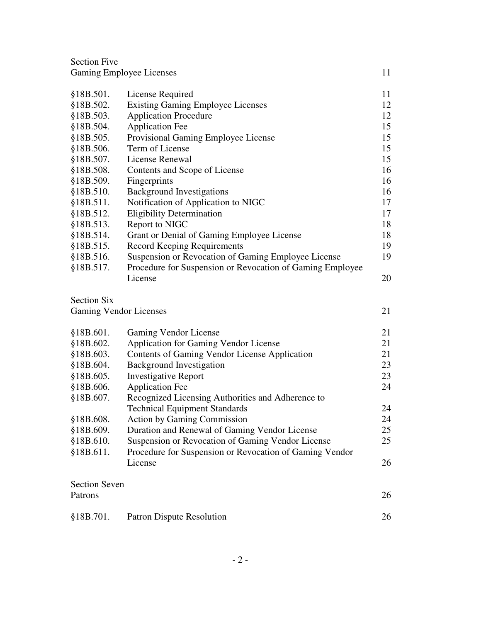| <b>Section Five</b>           |                                                           |    |
|-------------------------------|-----------------------------------------------------------|----|
|                               | <b>Gaming Employee Licenses</b>                           | 11 |
|                               |                                                           |    |
| §18B.501.                     | License Required                                          | 11 |
| §18B.502.                     | <b>Existing Gaming Employee Licenses</b>                  | 12 |
| §18B.503.                     | <b>Application Procedure</b>                              | 12 |
| §18B.504.                     | <b>Application Fee</b>                                    | 15 |
| §18B.505.                     | Provisional Gaming Employee License                       | 15 |
| §18B.506.                     | Term of License                                           | 15 |
| §18B.507.                     | License Renewal                                           | 15 |
| §18B.508.                     | Contents and Scope of License                             | 16 |
| §18B.509.                     | Fingerprints                                              | 16 |
| §18B.510.                     | <b>Background Investigations</b>                          | 16 |
| §18B.511.                     | Notification of Application to NIGC                       | 17 |
| §18B.512.                     | <b>Eligibility Determination</b>                          | 17 |
| §18B.513.                     | Report to NIGC                                            | 18 |
| §18B.514.                     | Grant or Denial of Gaming Employee License                | 18 |
| §18B.515.                     | <b>Record Keeping Requirements</b>                        | 19 |
| §18B.516.                     | Suspension or Revocation of Gaming Employee License       | 19 |
| §18B.517.                     | Procedure for Suspension or Revocation of Gaming Employee |    |
|                               | License                                                   | 20 |
| <b>Section Six</b>            |                                                           |    |
| <b>Gaming Vendor Licenses</b> |                                                           |    |
|                               |                                                           | 21 |
| §18B.601.                     | <b>Gaming Vendor License</b>                              | 21 |
| \$18B.602.                    | <b>Application for Gaming Vendor License</b>              | 21 |
| §18B.603.                     | <b>Contents of Gaming Vendor License Application</b>      | 21 |
| §18B.604.                     | <b>Background Investigation</b>                           | 23 |
| §18B.605.                     | <b>Investigative Report</b>                               | 23 |
| §18B.606.                     | <b>Application Fee</b>                                    | 24 |
| §18B.607.                     | Recognized Licensing Authorities and Adherence to         |    |
|                               | <b>Technical Equipment Standards</b>                      | 24 |
| §18B.608.                     | <b>Action by Gaming Commission</b>                        | 24 |
| §18B.609.                     | Duration and Renewal of Gaming Vendor License             | 25 |
| §18B.610.                     | Suspension or Revocation of Gaming Vendor License         | 25 |
| §18B.611.                     | Procedure for Suspension or Revocation of Gaming Vendor   |    |
|                               | License                                                   | 26 |
| <b>Section Seven</b>          |                                                           |    |
| Patrons                       |                                                           | 26 |
|                               |                                                           |    |
| §18B.701.                     | <b>Patron Dispute Resolution</b>                          | 26 |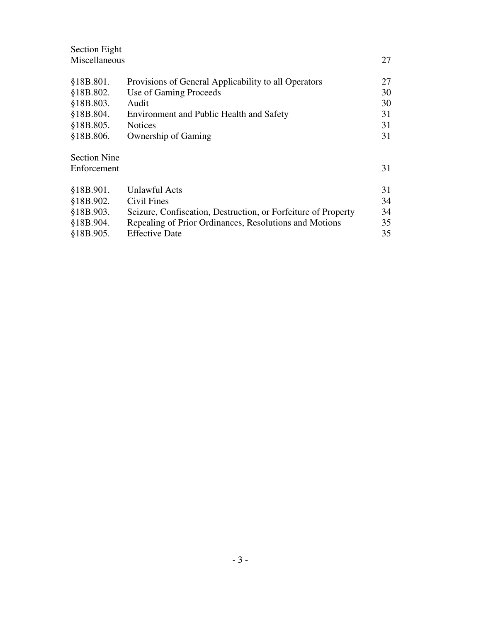| Section Eight       |                                                               |    |
|---------------------|---------------------------------------------------------------|----|
| Miscellaneous       |                                                               | 27 |
|                     |                                                               |    |
| §18B.801.           | Provisions of General Applicability to all Operators          | 27 |
| §18B.802.           | Use of Gaming Proceeds                                        | 30 |
| §18B.803.           | Audit                                                         | 30 |
| §18B.804.           | <b>Environment and Public Health and Safety</b>               | 31 |
| §18B.805.           | <b>Notices</b>                                                | 31 |
| §18B.806.           | Ownership of Gaming                                           | 31 |
|                     |                                                               |    |
| <b>Section Nine</b> |                                                               |    |
| Enforcement         |                                                               | 31 |
|                     |                                                               |    |
| §18B.901.           | Unlawful Acts                                                 | 31 |
| §18B.902.           | Civil Fines                                                   | 34 |
| §18B.903.           | Seizure, Confiscation, Destruction, or Forfeiture of Property | 34 |
| §18B.904.           | Repealing of Prior Ordinances, Resolutions and Motions        | 35 |
| §18B.905.           | <b>Effective Date</b>                                         | 35 |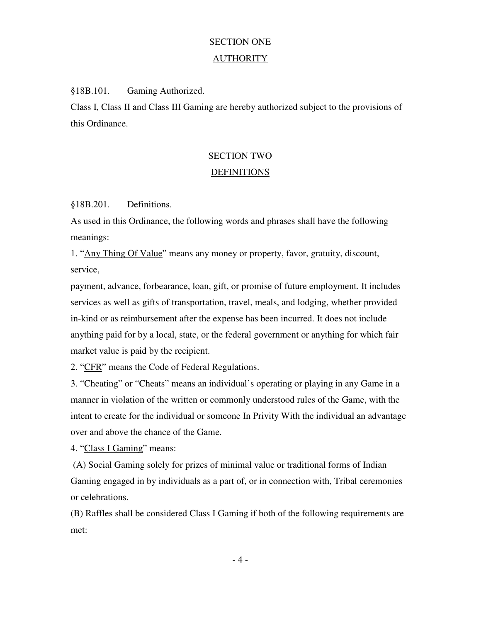# SECTION ONE

### **AUTHORITY**

§18B.101. Gaming Authorized.

Class I, Class II and Class III Gaming are hereby authorized subject to the provisions of this Ordinance.

# SECTION TWO **DEFINITIONS**

§18B.201. Definitions.

As used in this Ordinance, the following words and phrases shall have the following meanings:

1. "Any Thing Of Value" means any money or property, favor, gratuity, discount, service,

payment, advance, forbearance, loan, gift, or promise of future employment. It includes services as well as gifts of transportation, travel, meals, and lodging, whether provided in-kind or as reimbursement after the expense has been incurred. It does not include anything paid for by a local, state, or the federal government or anything for which fair market value is paid by the recipient.

2. "CFR" means the Code of Federal Regulations.

3. "Cheating" or "Cheats" means an individual's operating or playing in any Game in a manner in violation of the written or commonly understood rules of the Game, with the intent to create for the individual or someone In Privity With the individual an advantage over and above the chance of the Game.

4. "Class I Gaming" means:

 (A) Social Gaming solely for prizes of minimal value or traditional forms of Indian Gaming engaged in by individuals as a part of, or in connection with, Tribal ceremonies or celebrations.

(B) Raffles shall be considered Class I Gaming if both of the following requirements are met:

- 4 -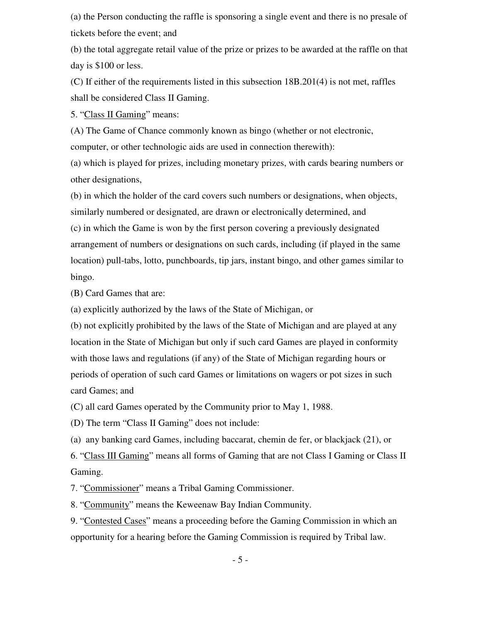(a) the Person conducting the raffle is sponsoring a single event and there is no presale of tickets before the event; and

(b) the total aggregate retail value of the prize or prizes to be awarded at the raffle on that day is \$100 or less.

(C) If either of the requirements listed in this subsection 18B.201(4) is not met, raffles shall be considered Class II Gaming.

5. "Class II Gaming" means:

(A) The Game of Chance commonly known as bingo (whether or not electronic, computer, or other technologic aids are used in connection therewith):

(a) which is played for prizes, including monetary prizes, with cards bearing numbers or other designations,

(b) in which the holder of the card covers such numbers or designations, when objects, similarly numbered or designated, are drawn or electronically determined, and (c) in which the Game is won by the first person covering a previously designated arrangement of numbers or designations on such cards, including (if played in the same location) pull-tabs, lotto, punchboards, tip jars, instant bingo, and other games similar to bingo.

(B) Card Games that are:

(a) explicitly authorized by the laws of the State of Michigan, or

(b) not explicitly prohibited by the laws of the State of Michigan and are played at any location in the State of Michigan but only if such card Games are played in conformity with those laws and regulations (if any) of the State of Michigan regarding hours or periods of operation of such card Games or limitations on wagers or pot sizes in such card Games; and

(C) all card Games operated by the Community prior to May 1, 1988.

(D) The term "Class II Gaming" does not include:

(a) any banking card Games, including baccarat, chemin de fer, or blackjack (21), or

6. "Class III Gaming" means all forms of Gaming that are not Class I Gaming or Class II Gaming.

7. "Commissioner" means a Tribal Gaming Commissioner.

8. "Community" means the Keweenaw Bay Indian Community.

9. "Contested Cases" means a proceeding before the Gaming Commission in which an opportunity for a hearing before the Gaming Commission is required by Tribal law.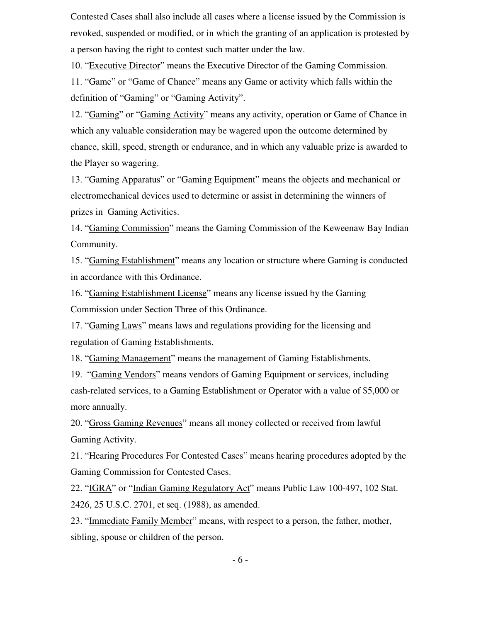Contested Cases shall also include all cases where a license issued by the Commission is revoked, suspended or modified, or in which the granting of an application is protested by a person having the right to contest such matter under the law.

10. "Executive Director" means the Executive Director of the Gaming Commission.

11. "Game" or "Game of Chance" means any Game or activity which falls within the definition of "Gaming" or "Gaming Activity".

12. "Gaming" or "Gaming Activity" means any activity, operation or Game of Chance in which any valuable consideration may be wagered upon the outcome determined by chance, skill, speed, strength or endurance, and in which any valuable prize is awarded to the Player so wagering.

13. "Gaming Apparatus" or "Gaming Equipment" means the objects and mechanical or electromechanical devices used to determine or assist in determining the winners of prizes in Gaming Activities.

14. "Gaming Commission" means the Gaming Commission of the Keweenaw Bay Indian Community.

15. "Gaming Establishment" means any location or structure where Gaming is conducted in accordance with this Ordinance.

16. "Gaming Establishment License" means any license issued by the Gaming Commission under Section Three of this Ordinance.

17. "Gaming Laws" means laws and regulations providing for the licensing and regulation of Gaming Establishments.

18. "Gaming Management" means the management of Gaming Establishments.

19. "Gaming Vendors" means vendors of Gaming Equipment or services, including cash-related services, to a Gaming Establishment or Operator with a value of \$5,000 or more annually.

20. "Gross Gaming Revenues" means all money collected or received from lawful Gaming Activity.

21. "Hearing Procedures For Contested Cases" means hearing procedures adopted by the Gaming Commission for Contested Cases.

22. "IGRA" or "Indian Gaming Regulatory Act" means Public Law 100-497, 102 Stat. 2426, 25 U.S.C. 2701, et seq. (1988), as amended.

23. "Immediate Family Member" means, with respect to a person, the father, mother, sibling, spouse or children of the person.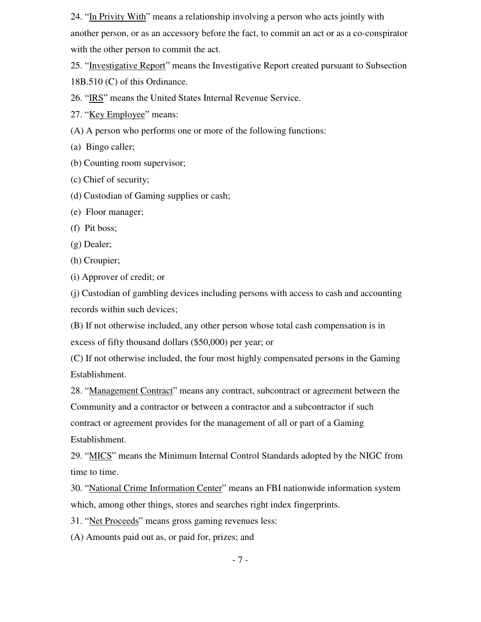24. "In Privity With" means a relationship involving a person who acts jointly with another person, or as an accessory before the fact, to commit an act or as a co-conspirator with the other person to commit the act.

25. "Investigative Report" means the Investigative Report created pursuant to Subsection 18B.510 (C) of this Ordinance.

26. "IRS" means the United States Internal Revenue Service.

27. "Key Employee" means:

(A) A person who performs one or more of the following functions:

(a) Bingo caller;

(b) Counting room supervisor;

(c) Chief of security;

(d) Custodian of Gaming supplies or cash;

(e) Floor manager;

(f) Pit boss;

(g) Dealer;

(h) Croupier;

(i) Approver of credit; or

(j) Custodian of gambling devices including persons with access to cash and accounting records within such devices;

(B) If not otherwise included, any other person whose total cash compensation is in excess of fifty thousand dollars (\$50,000) per year; or

(C) If not otherwise included, the four most highly compensated persons in the Gaming Establishment.

28. "Management Contract" means any contract, subcontract or agreement between the Community and a contractor or between a contractor and a subcontractor if such contract or agreement provides for the management of all or part of a Gaming Establishment.

29. "MICS" means the Minimum Internal Control Standards adopted by the NIGC from time to time.

30. "National Crime Information Center" means an FBI nationwide information system which, among other things, stores and searches right index fingerprints.

31. "Net Proceeds" means gross gaming revenues less:

(A) Amounts paid out as, or paid for, prizes; and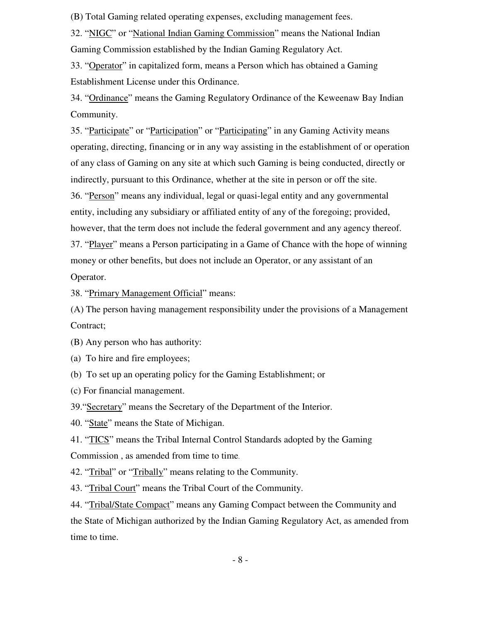(B) Total Gaming related operating expenses, excluding management fees.

32. "NIGC" or "National Indian Gaming Commission" means the National Indian Gaming Commission established by the Indian Gaming Regulatory Act.

33. "Operator" in capitalized form, means a Person which has obtained a Gaming Establishment License under this Ordinance.

34. "Ordinance" means the Gaming Regulatory Ordinance of the Keweenaw Bay Indian Community.

35. "Participate" or "Participation" or "Participating" in any Gaming Activity means operating, directing, financing or in any way assisting in the establishment of or operation of any class of Gaming on any site at which such Gaming is being conducted, directly or indirectly, pursuant to this Ordinance, whether at the site in person or off the site. 36. "Person" means any individual, legal or quasi-legal entity and any governmental entity, including any subsidiary or affiliated entity of any of the foregoing; provided, however, that the term does not include the federal government and any agency thereof. 37. "Player" means a Person participating in a Game of Chance with the hope of winning money or other benefits, but does not include an Operator, or any assistant of an Operator.

38. "Primary Management Official" means:

(A) The person having management responsibility under the provisions of a Management Contract;

(B) Any person who has authority:

(a) To hire and fire employees;

(b) To set up an operating policy for the Gaming Establishment; or

(c) For financial management.

39."Secretary" means the Secretary of the Department of the Interior.

40. "State" means the State of Michigan.

41. "TICS" means the Tribal Internal Control Standards adopted by the Gaming Commission , as amended from time to time.

42. "Tribal" or "Tribally" means relating to the Community.

43. "Tribal Court" means the Tribal Court of the Community.

44. "Tribal/State Compact" means any Gaming Compact between the Community and the State of Michigan authorized by the Indian Gaming Regulatory Act, as amended from time to time.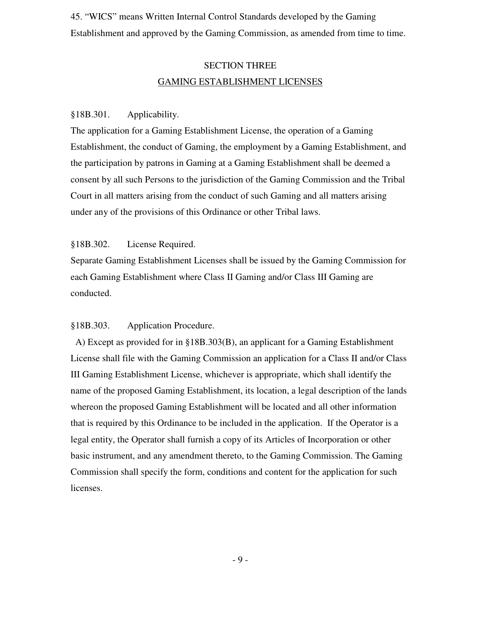45. "WICS" means Written Internal Control Standards developed by the Gaming Establishment and approved by the Gaming Commission, as amended from time to time.

## SECTION THREE GAMING ESTABLISHMENT LICENSES

#### §18B.301. Applicability.

The application for a Gaming Establishment License, the operation of a Gaming Establishment, the conduct of Gaming, the employment by a Gaming Establishment, and the participation by patrons in Gaming at a Gaming Establishment shall be deemed a consent by all such Persons to the jurisdiction of the Gaming Commission and the Tribal Court in all matters arising from the conduct of such Gaming and all matters arising under any of the provisions of this Ordinance or other Tribal laws.

#### §18B.302. License Required.

Separate Gaming Establishment Licenses shall be issued by the Gaming Commission for each Gaming Establishment where Class II Gaming and/or Class III Gaming are conducted.

#### §18B.303. Application Procedure.

 A) Except as provided for in §18B.303(B), an applicant for a Gaming Establishment License shall file with the Gaming Commission an application for a Class II and/or Class III Gaming Establishment License, whichever is appropriate, which shall identify the name of the proposed Gaming Establishment, its location, a legal description of the lands whereon the proposed Gaming Establishment will be located and all other information that is required by this Ordinance to be included in the application. If the Operator is a legal entity, the Operator shall furnish a copy of its Articles of Incorporation or other basic instrument, and any amendment thereto, to the Gaming Commission. The Gaming Commission shall specify the form, conditions and content for the application for such licenses.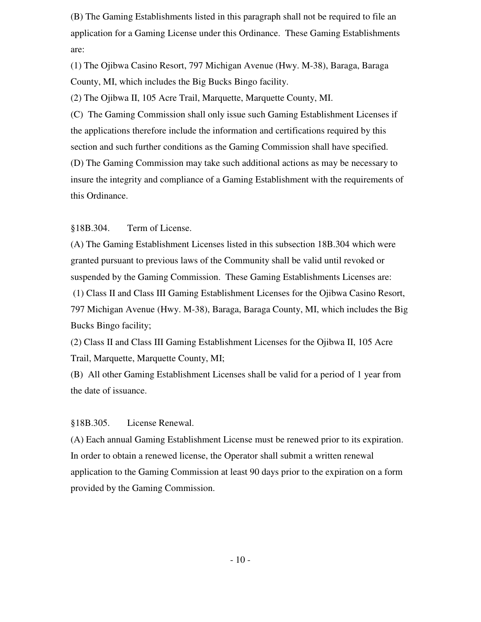(B) The Gaming Establishments listed in this paragraph shall not be required to file an application for a Gaming License under this Ordinance. These Gaming Establishments are:

(1) The Ojibwa Casino Resort, 797 Michigan Avenue (Hwy. M-38), Baraga, Baraga County, MI, which includes the Big Bucks Bingo facility.

(2) The Ojibwa II, 105 Acre Trail, Marquette, Marquette County, MI.

(C) The Gaming Commission shall only issue such Gaming Establishment Licenses if the applications therefore include the information and certifications required by this section and such further conditions as the Gaming Commission shall have specified. (D) The Gaming Commission may take such additional actions as may be necessary to insure the integrity and compliance of a Gaming Establishment with the requirements of this Ordinance.

§18B.304. Term of License.

(A) The Gaming Establishment Licenses listed in this subsection 18B.304 which were granted pursuant to previous laws of the Community shall be valid until revoked or suspended by the Gaming Commission. These Gaming Establishments Licenses are:

 (1) Class II and Class III Gaming Establishment Licenses for the Ojibwa Casino Resort, 797 Michigan Avenue (Hwy. M-38), Baraga, Baraga County, MI, which includes the Big Bucks Bingo facility;

(2) Class II and Class III Gaming Establishment Licenses for the Ojibwa II, 105 Acre Trail, Marquette, Marquette County, MI;

(B) All other Gaming Establishment Licenses shall be valid for a period of 1 year from the date of issuance.

§18B.305. License Renewal.

(A) Each annual Gaming Establishment License must be renewed prior to its expiration. In order to obtain a renewed license, the Operator shall submit a written renewal application to the Gaming Commission at least 90 days prior to the expiration on a form provided by the Gaming Commission.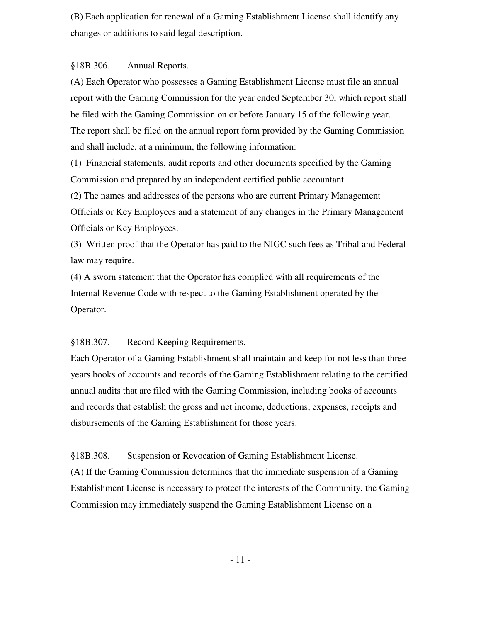(B) Each application for renewal of a Gaming Establishment License shall identify any changes or additions to said legal description.

§18B.306. Annual Reports.

(A) Each Operator who possesses a Gaming Establishment License must file an annual report with the Gaming Commission for the year ended September 30, which report shall be filed with the Gaming Commission on or before January 15 of the following year. The report shall be filed on the annual report form provided by the Gaming Commission and shall include, at a minimum, the following information:

(1) Financial statements, audit reports and other documents specified by the Gaming Commission and prepared by an independent certified public accountant.

(2) The names and addresses of the persons who are current Primary Management Officials or Key Employees and a statement of any changes in the Primary Management Officials or Key Employees.

(3) Written proof that the Operator has paid to the NIGC such fees as Tribal and Federal law may require.

(4) A sworn statement that the Operator has complied with all requirements of the Internal Revenue Code with respect to the Gaming Establishment operated by the Operator.

§18B.307. Record Keeping Requirements.

Each Operator of a Gaming Establishment shall maintain and keep for not less than three years books of accounts and records of the Gaming Establishment relating to the certified annual audits that are filed with the Gaming Commission, including books of accounts and records that establish the gross and net income, deductions, expenses, receipts and disbursements of the Gaming Establishment for those years.

§18B.308. Suspension or Revocation of Gaming Establishment License.

(A) If the Gaming Commission determines that the immediate suspension of a Gaming Establishment License is necessary to protect the interests of the Community, the Gaming Commission may immediately suspend the Gaming Establishment License on a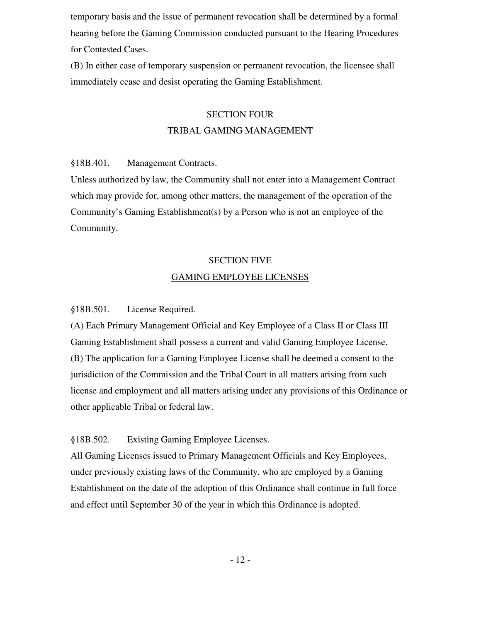temporary basis and the issue of permanent revocation shall be determined by a formal hearing before the Gaming Commission conducted pursuant to the Hearing Procedures for Contested Cases.

(B) In either case of temporary suspension or permanent revocation, the licensee shall immediately cease and desist operating the Gaming Establishment.

## SECTION FOUR TRIBAL GAMING MANAGEMENT

§18B.401. Management Contracts.

Unless authorized by law, the Community shall not enter into a Management Contract which may provide for, among other matters, the management of the operation of the Community's Gaming Establishment(s) by a Person who is not an employee of the Community.

# SECTION FIVE GAMING EMPLOYEE LICENSES

§18B.501. License Required.

(A) Each Primary Management Official and Key Employee of a Class II or Class III Gaming Establishment shall possess a current and valid Gaming Employee License. (B) The application for a Gaming Employee License shall be deemed a consent to the jurisdiction of the Commission and the Tribal Court in all matters arising from such license and employment and all matters arising under any provisions of this Ordinance or other applicable Tribal or federal law.

§18B.502. Existing Gaming Employee Licenses.

All Gaming Licenses issued to Primary Management Officials and Key Employees, under previously existing laws of the Community, who are employed by a Gaming Establishment on the date of the adoption of this Ordinance shall continue in full force and effect until September 30 of the year in which this Ordinance is adopted.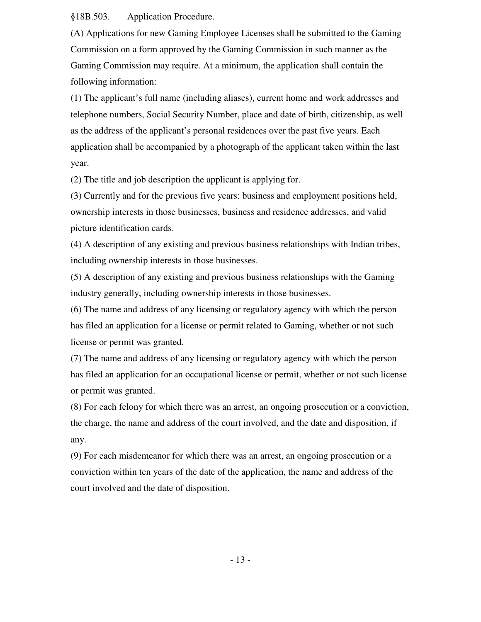§18B.503. Application Procedure.

(A) Applications for new Gaming Employee Licenses shall be submitted to the Gaming Commission on a form approved by the Gaming Commission in such manner as the Gaming Commission may require. At a minimum, the application shall contain the following information:

(1) The applicant's full name (including aliases), current home and work addresses and telephone numbers, Social Security Number, place and date of birth, citizenship, as well as the address of the applicant's personal residences over the past five years. Each application shall be accompanied by a photograph of the applicant taken within the last year.

(2) The title and job description the applicant is applying for.

(3) Currently and for the previous five years: business and employment positions held, ownership interests in those businesses, business and residence addresses, and valid picture identification cards.

(4) A description of any existing and previous business relationships with Indian tribes, including ownership interests in those businesses.

(5) A description of any existing and previous business relationships with the Gaming industry generally, including ownership interests in those businesses.

(6) The name and address of any licensing or regulatory agency with which the person has filed an application for a license or permit related to Gaming, whether or not such license or permit was granted.

(7) The name and address of any licensing or regulatory agency with which the person has filed an application for an occupational license or permit, whether or not such license or permit was granted.

(8) For each felony for which there was an arrest, an ongoing prosecution or a conviction, the charge, the name and address of the court involved, and the date and disposition, if any.

(9) For each misdemeanor for which there was an arrest, an ongoing prosecution or a conviction within ten years of the date of the application, the name and address of the court involved and the date of disposition.

- 13 -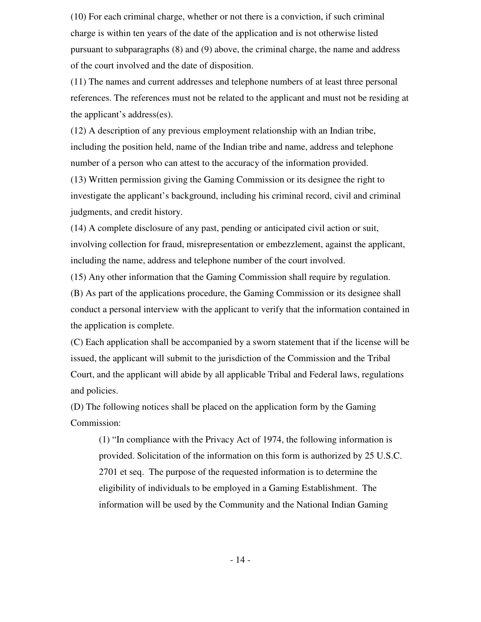(10) For each criminal charge, whether or not there is a conviction, if such criminal charge is within ten years of the date of the application and is not otherwise listed pursuant to subparagraphs (8) and (9) above, the criminal charge, the name and address of the court involved and the date of disposition.

(11) The names and current addresses and telephone numbers of at least three personal references. The references must not be related to the applicant and must not be residing at the applicant's address(es).

(12) A description of any previous employment relationship with an Indian tribe, including the position held, name of the Indian tribe and name, address and telephone number of a person who can attest to the accuracy of the information provided.

(13) Written permission giving the Gaming Commission or its designee the right to investigate the applicant's background, including his criminal record, civil and criminal judgments, and credit history.

(14) A complete disclosure of any past, pending or anticipated civil action or suit, involving collection for fraud, misrepresentation or embezzlement, against the applicant, including the name, address and telephone number of the court involved.

(15) Any other information that the Gaming Commission shall require by regulation.

(B) As part of the applications procedure, the Gaming Commission or its designee shall conduct a personal interview with the applicant to verify that the information contained in the application is complete.

(C) Each application shall be accompanied by a sworn statement that if the license will be issued, the applicant will submit to the jurisdiction of the Commission and the Tribal Court, and the applicant will abide by all applicable Tribal and Federal laws, regulations and policies.

(D) The following notices shall be placed on the application form by the Gaming Commission:

(1) "In compliance with the Privacy Act of 1974, the following information is provided. Solicitation of the information on this form is authorized by 25 U.S.C. 2701 et seq. The purpose of the requested information is to determine the eligibility of individuals to be employed in a Gaming Establishment. The information will be used by the Community and the National Indian Gaming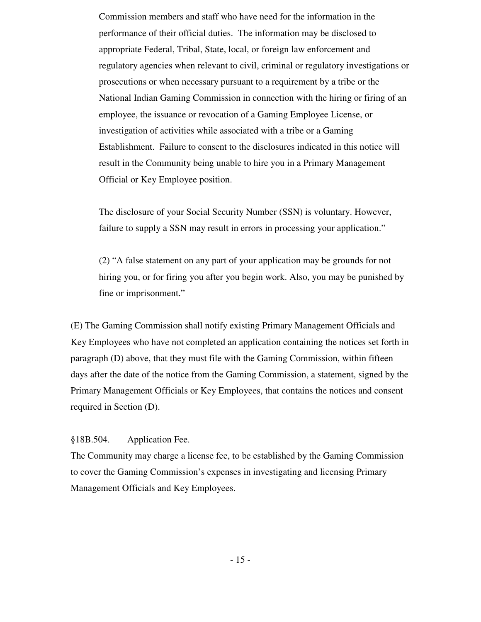Commission members and staff who have need for the information in the performance of their official duties. The information may be disclosed to appropriate Federal, Tribal, State, local, or foreign law enforcement and regulatory agencies when relevant to civil, criminal or regulatory investigations or prosecutions or when necessary pursuant to a requirement by a tribe or the National Indian Gaming Commission in connection with the hiring or firing of an employee, the issuance or revocation of a Gaming Employee License, or investigation of activities while associated with a tribe or a Gaming Establishment. Failure to consent to the disclosures indicated in this notice will result in the Community being unable to hire you in a Primary Management Official or Key Employee position.

The disclosure of your Social Security Number (SSN) is voluntary. However, failure to supply a SSN may result in errors in processing your application."

(2) "A false statement on any part of your application may be grounds for not hiring you, or for firing you after you begin work. Also, you may be punished by fine or imprisonment."

(E) The Gaming Commission shall notify existing Primary Management Officials and Key Employees who have not completed an application containing the notices set forth in paragraph (D) above, that they must file with the Gaming Commission, within fifteen days after the date of the notice from the Gaming Commission, a statement, signed by the Primary Management Officials or Key Employees, that contains the notices and consent required in Section (D).

§18B.504. Application Fee.

The Community may charge a license fee, to be established by the Gaming Commission to cover the Gaming Commission's expenses in investigating and licensing Primary Management Officials and Key Employees.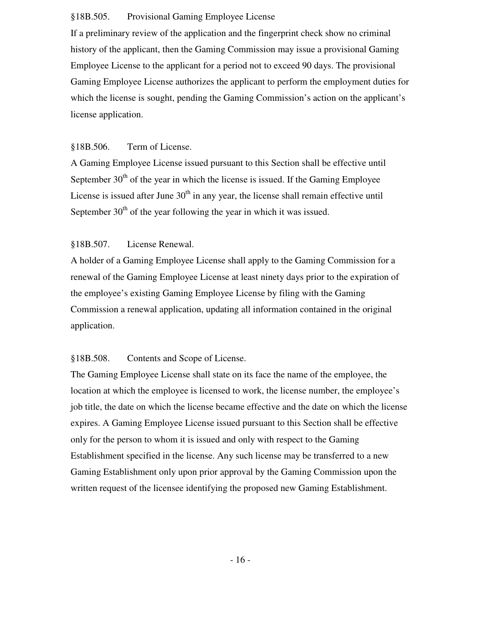#### §18B.505. Provisional Gaming Employee License

If a preliminary review of the application and the fingerprint check show no criminal history of the applicant, then the Gaming Commission may issue a provisional Gaming Employee License to the applicant for a period not to exceed 90 days. The provisional Gaming Employee License authorizes the applicant to perform the employment duties for which the license is sought, pending the Gaming Commission's action on the applicant's license application.

#### §18B.506. Term of License.

A Gaming Employee License issued pursuant to this Section shall be effective until September  $30<sup>th</sup>$  of the year in which the license is issued. If the Gaming Employee License is issued after June  $30<sup>th</sup>$  in any year, the license shall remain effective until September  $30<sup>th</sup>$  of the year following the year in which it was issued.

#### §18B.507. License Renewal.

A holder of a Gaming Employee License shall apply to the Gaming Commission for a renewal of the Gaming Employee License at least ninety days prior to the expiration of the employee's existing Gaming Employee License by filing with the Gaming Commission a renewal application, updating all information contained in the original application.

#### §18B.508. Contents and Scope of License.

The Gaming Employee License shall state on its face the name of the employee, the location at which the employee is licensed to work, the license number, the employee's job title, the date on which the license became effective and the date on which the license expires. A Gaming Employee License issued pursuant to this Section shall be effective only for the person to whom it is issued and only with respect to the Gaming Establishment specified in the license. Any such license may be transferred to a new Gaming Establishment only upon prior approval by the Gaming Commission upon the written request of the licensee identifying the proposed new Gaming Establishment.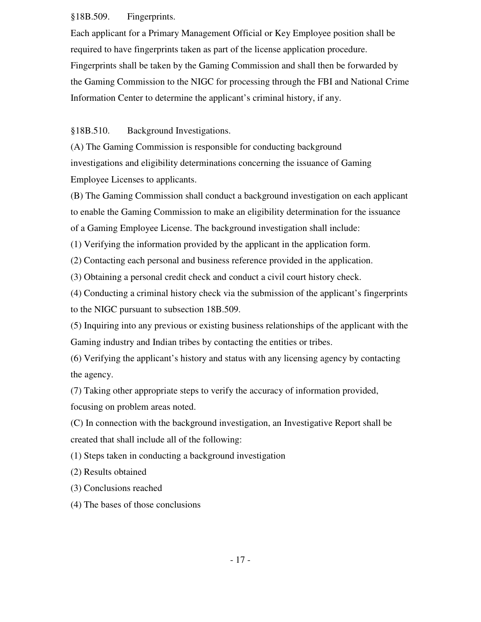#### §18B.509. Fingerprints.

Each applicant for a Primary Management Official or Key Employee position shall be required to have fingerprints taken as part of the license application procedure. Fingerprints shall be taken by the Gaming Commission and shall then be forwarded by the Gaming Commission to the NIGC for processing through the FBI and National Crime Information Center to determine the applicant's criminal history, if any.

#### §18B.510. Background Investigations.

(A) The Gaming Commission is responsible for conducting background investigations and eligibility determinations concerning the issuance of Gaming Employee Licenses to applicants.

(B) The Gaming Commission shall conduct a background investigation on each applicant to enable the Gaming Commission to make an eligibility determination for the issuance of a Gaming Employee License. The background investigation shall include:

(1) Verifying the information provided by the applicant in the application form.

(2) Contacting each personal and business reference provided in the application.

(3) Obtaining a personal credit check and conduct a civil court history check.

(4) Conducting a criminal history check via the submission of the applicant's fingerprints to the NIGC pursuant to subsection 18B.509.

(5) Inquiring into any previous or existing business relationships of the applicant with the Gaming industry and Indian tribes by contacting the entities or tribes.

(6) Verifying the applicant's history and status with any licensing agency by contacting the agency.

(7) Taking other appropriate steps to verify the accuracy of information provided, focusing on problem areas noted.

(C) In connection with the background investigation, an Investigative Report shall be created that shall include all of the following:

(1) Steps taken in conducting a background investigation

(2) Results obtained

(3) Conclusions reached

(4) The bases of those conclusions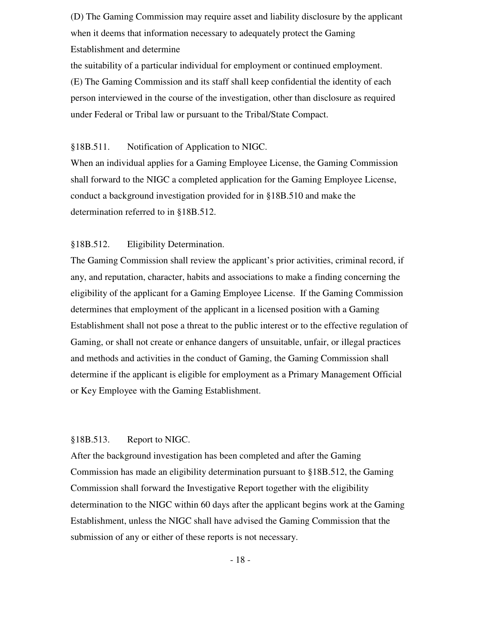(D) The Gaming Commission may require asset and liability disclosure by the applicant when it deems that information necessary to adequately protect the Gaming Establishment and determine

the suitability of a particular individual for employment or continued employment. (E) The Gaming Commission and its staff shall keep confidential the identity of each person interviewed in the course of the investigation, other than disclosure as required under Federal or Tribal law or pursuant to the Tribal/State Compact.

#### §18B.511. Notification of Application to NIGC.

When an individual applies for a Gaming Employee License, the Gaming Commission shall forward to the NIGC a completed application for the Gaming Employee License, conduct a background investigation provided for in §18B.510 and make the determination referred to in §18B.512.

#### §18B.512. Eligibility Determination.

The Gaming Commission shall review the applicant's prior activities, criminal record, if any, and reputation, character, habits and associations to make a finding concerning the eligibility of the applicant for a Gaming Employee License. If the Gaming Commission determines that employment of the applicant in a licensed position with a Gaming Establishment shall not pose a threat to the public interest or to the effective regulation of Gaming, or shall not create or enhance dangers of unsuitable, unfair, or illegal practices and methods and activities in the conduct of Gaming, the Gaming Commission shall determine if the applicant is eligible for employment as a Primary Management Official or Key Employee with the Gaming Establishment.

#### §18B.513. Report to NIGC.

After the background investigation has been completed and after the Gaming Commission has made an eligibility determination pursuant to §18B.512, the Gaming Commission shall forward the Investigative Report together with the eligibility determination to the NIGC within 60 days after the applicant begins work at the Gaming Establishment, unless the NIGC shall have advised the Gaming Commission that the submission of any or either of these reports is not necessary.

- 18 -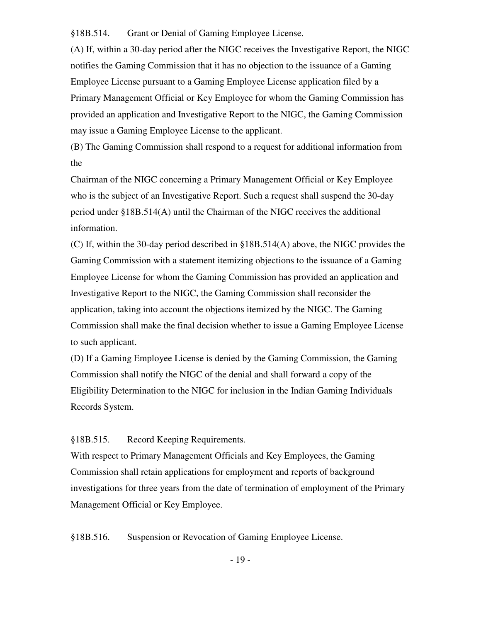§18B.514. Grant or Denial of Gaming Employee License.

(A) If, within a 30-day period after the NIGC receives the Investigative Report, the NIGC notifies the Gaming Commission that it has no objection to the issuance of a Gaming Employee License pursuant to a Gaming Employee License application filed by a Primary Management Official or Key Employee for whom the Gaming Commission has provided an application and Investigative Report to the NIGC, the Gaming Commission may issue a Gaming Employee License to the applicant.

(B) The Gaming Commission shall respond to a request for additional information from the

Chairman of the NIGC concerning a Primary Management Official or Key Employee who is the subject of an Investigative Report. Such a request shall suspend the 30-day period under §18B.514(A) until the Chairman of the NIGC receives the additional information.

(C) If, within the 30-day period described in §18B.514(A) above, the NIGC provides the Gaming Commission with a statement itemizing objections to the issuance of a Gaming Employee License for whom the Gaming Commission has provided an application and Investigative Report to the NIGC, the Gaming Commission shall reconsider the application, taking into account the objections itemized by the NIGC. The Gaming Commission shall make the final decision whether to issue a Gaming Employee License to such applicant.

(D) If a Gaming Employee License is denied by the Gaming Commission, the Gaming Commission shall notify the NIGC of the denial and shall forward a copy of the Eligibility Determination to the NIGC for inclusion in the Indian Gaming Individuals Records System.

#### §18B.515. Record Keeping Requirements.

With respect to Primary Management Officials and Key Employees, the Gaming Commission shall retain applications for employment and reports of background investigations for three years from the date of termination of employment of the Primary Management Official or Key Employee.

§18B.516. Suspension or Revocation of Gaming Employee License.

- 19 -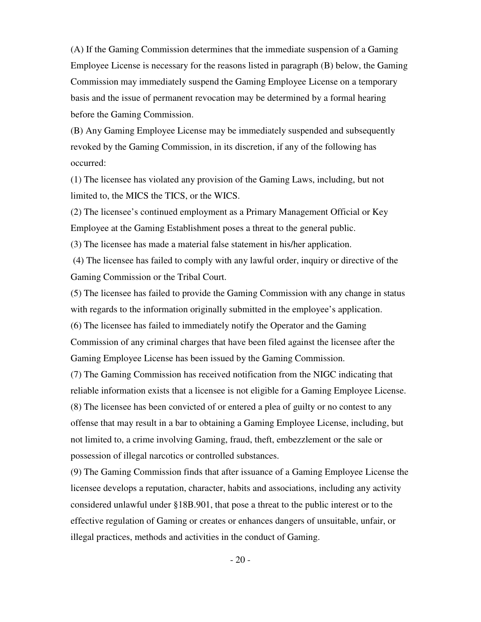(A) If the Gaming Commission determines that the immediate suspension of a Gaming Employee License is necessary for the reasons listed in paragraph (B) below, the Gaming Commission may immediately suspend the Gaming Employee License on a temporary basis and the issue of permanent revocation may be determined by a formal hearing before the Gaming Commission.

(B) Any Gaming Employee License may be immediately suspended and subsequently revoked by the Gaming Commission, in its discretion, if any of the following has occurred:

(1) The licensee has violated any provision of the Gaming Laws, including, but not limited to, the MICS the TICS, or the WICS.

(2) The licensee's continued employment as a Primary Management Official or Key Employee at the Gaming Establishment poses a threat to the general public.

(3) The licensee has made a material false statement in his/her application.

 (4) The licensee has failed to comply with any lawful order, inquiry or directive of the Gaming Commission or the Tribal Court.

(5) The licensee has failed to provide the Gaming Commission with any change in status with regards to the information originally submitted in the employee's application. (6) The licensee has failed to immediately notify the Operator and the Gaming Commission of any criminal charges that have been filed against the licensee after the Gaming Employee License has been issued by the Gaming Commission.

(7) The Gaming Commission has received notification from the NIGC indicating that reliable information exists that a licensee is not eligible for a Gaming Employee License. (8) The licensee has been convicted of or entered a plea of guilty or no contest to any offense that may result in a bar to obtaining a Gaming Employee License, including, but not limited to, a crime involving Gaming, fraud, theft, embezzlement or the sale or possession of illegal narcotics or controlled substances.

(9) The Gaming Commission finds that after issuance of a Gaming Employee License the licensee develops a reputation, character, habits and associations, including any activity considered unlawful under §18B.901, that pose a threat to the public interest or to the effective regulation of Gaming or creates or enhances dangers of unsuitable, unfair, or illegal practices, methods and activities in the conduct of Gaming.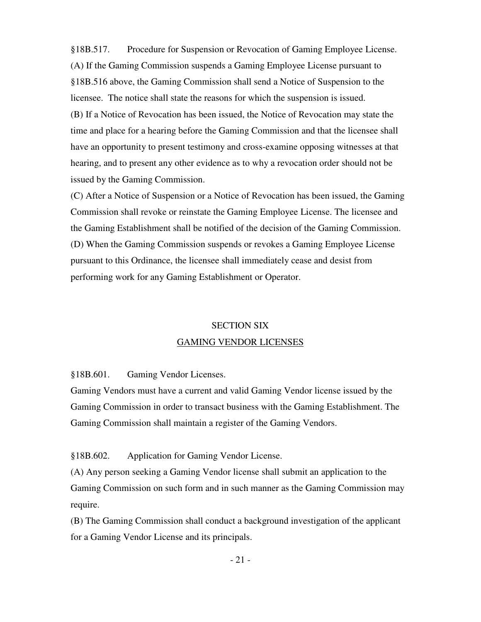§18B.517. Procedure for Suspension or Revocation of Gaming Employee License. (A) If the Gaming Commission suspends a Gaming Employee License pursuant to §18B.516 above, the Gaming Commission shall send a Notice of Suspension to the licensee. The notice shall state the reasons for which the suspension is issued. (B) If a Notice of Revocation has been issued, the Notice of Revocation may state the time and place for a hearing before the Gaming Commission and that the licensee shall have an opportunity to present testimony and cross-examine opposing witnesses at that hearing, and to present any other evidence as to why a revocation order should not be issued by the Gaming Commission.

(C) After a Notice of Suspension or a Notice of Revocation has been issued, the Gaming Commission shall revoke or reinstate the Gaming Employee License. The licensee and the Gaming Establishment shall be notified of the decision of the Gaming Commission. (D) When the Gaming Commission suspends or revokes a Gaming Employee License pursuant to this Ordinance, the licensee shall immediately cease and desist from performing work for any Gaming Establishment or Operator.

### SECTION SIX GAMING VENDOR LICENSES

§18B.601. Gaming Vendor Licenses.

Gaming Vendors must have a current and valid Gaming Vendor license issued by the Gaming Commission in order to transact business with the Gaming Establishment. The Gaming Commission shall maintain a register of the Gaming Vendors.

§18B.602. Application for Gaming Vendor License.

(A) Any person seeking a Gaming Vendor license shall submit an application to the Gaming Commission on such form and in such manner as the Gaming Commission may require.

(B) The Gaming Commission shall conduct a background investigation of the applicant for a Gaming Vendor License and its principals.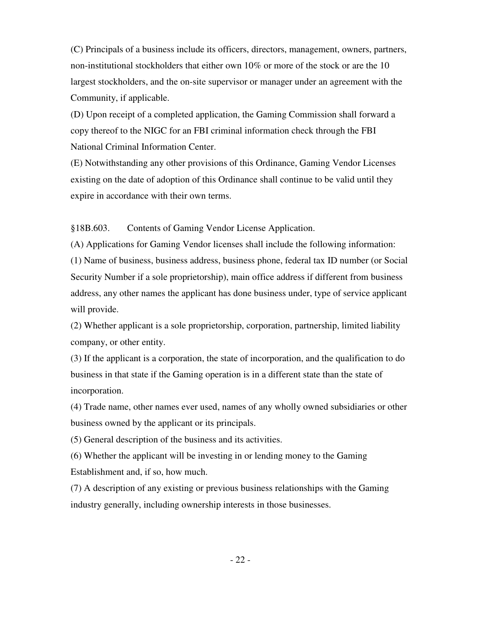(C) Principals of a business include its officers, directors, management, owners, partners, non-institutional stockholders that either own 10% or more of the stock or are the 10 largest stockholders, and the on-site supervisor or manager under an agreement with the Community, if applicable.

(D) Upon receipt of a completed application, the Gaming Commission shall forward a copy thereof to the NIGC for an FBI criminal information check through the FBI National Criminal Information Center.

(E) Notwithstanding any other provisions of this Ordinance, Gaming Vendor Licenses existing on the date of adoption of this Ordinance shall continue to be valid until they expire in accordance with their own terms.

§18B.603. Contents of Gaming Vendor License Application.

(A) Applications for Gaming Vendor licenses shall include the following information: (1) Name of business, business address, business phone, federal tax ID number (or Social Security Number if a sole proprietorship), main office address if different from business address, any other names the applicant has done business under, type of service applicant will provide.

(2) Whether applicant is a sole proprietorship, corporation, partnership, limited liability company, or other entity.

(3) If the applicant is a corporation, the state of incorporation, and the qualification to do business in that state if the Gaming operation is in a different state than the state of incorporation.

(4) Trade name, other names ever used, names of any wholly owned subsidiaries or other business owned by the applicant or its principals.

(5) General description of the business and its activities.

(6) Whether the applicant will be investing in or lending money to the Gaming Establishment and, if so, how much.

(7) A description of any existing or previous business relationships with the Gaming industry generally, including ownership interests in those businesses.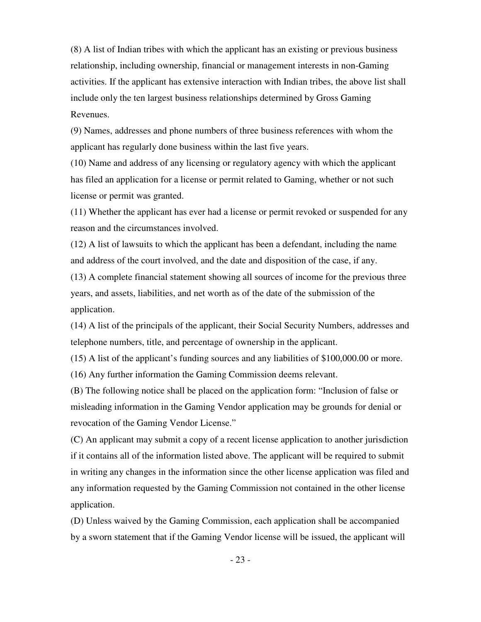(8) A list of Indian tribes with which the applicant has an existing or previous business relationship, including ownership, financial or management interests in non-Gaming activities. If the applicant has extensive interaction with Indian tribes, the above list shall include only the ten largest business relationships determined by Gross Gaming Revenues.

(9) Names, addresses and phone numbers of three business references with whom the applicant has regularly done business within the last five years.

(10) Name and address of any licensing or regulatory agency with which the applicant has filed an application for a license or permit related to Gaming, whether or not such license or permit was granted.

(11) Whether the applicant has ever had a license or permit revoked or suspended for any reason and the circumstances involved.

(12) A list of lawsuits to which the applicant has been a defendant, including the name and address of the court involved, and the date and disposition of the case, if any.

(13) A complete financial statement showing all sources of income for the previous three years, and assets, liabilities, and net worth as of the date of the submission of the application.

(14) A list of the principals of the applicant, their Social Security Numbers, addresses and telephone numbers, title, and percentage of ownership in the applicant.

(15) A list of the applicant's funding sources and any liabilities of \$100,000.00 or more.

(16) Any further information the Gaming Commission deems relevant.

(B) The following notice shall be placed on the application form: "Inclusion of false or misleading information in the Gaming Vendor application may be grounds for denial or revocation of the Gaming Vendor License."

(C) An applicant may submit a copy of a recent license application to another jurisdiction if it contains all of the information listed above. The applicant will be required to submit in writing any changes in the information since the other license application was filed and any information requested by the Gaming Commission not contained in the other license application.

(D) Unless waived by the Gaming Commission, each application shall be accompanied by a sworn statement that if the Gaming Vendor license will be issued, the applicant will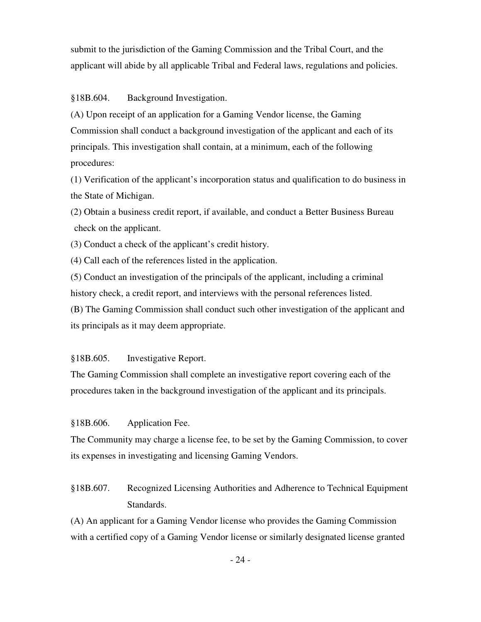submit to the jurisdiction of the Gaming Commission and the Tribal Court, and the applicant will abide by all applicable Tribal and Federal laws, regulations and policies.

§18B.604. Background Investigation.

(A) Upon receipt of an application for a Gaming Vendor license, the Gaming Commission shall conduct a background investigation of the applicant and each of its principals. This investigation shall contain, at a minimum, each of the following procedures:

(1) Verification of the applicant's incorporation status and qualification to do business in the State of Michigan.

(2) Obtain a business credit report, if available, and conduct a Better Business Bureau check on the applicant.

(3) Conduct a check of the applicant's credit history.

(4) Call each of the references listed in the application.

(5) Conduct an investigation of the principals of the applicant, including a criminal history check, a credit report, and interviews with the personal references listed.

(B) The Gaming Commission shall conduct such other investigation of the applicant and its principals as it may deem appropriate.

§18B.605. Investigative Report.

The Gaming Commission shall complete an investigative report covering each of the procedures taken in the background investigation of the applicant and its principals.

§18B.606. Application Fee.

The Community may charge a license fee, to be set by the Gaming Commission, to cover its expenses in investigating and licensing Gaming Vendors.

§18B.607. Recognized Licensing Authorities and Adherence to Technical Equipment Standards.

(A) An applicant for a Gaming Vendor license who provides the Gaming Commission with a certified copy of a Gaming Vendor license or similarly designated license granted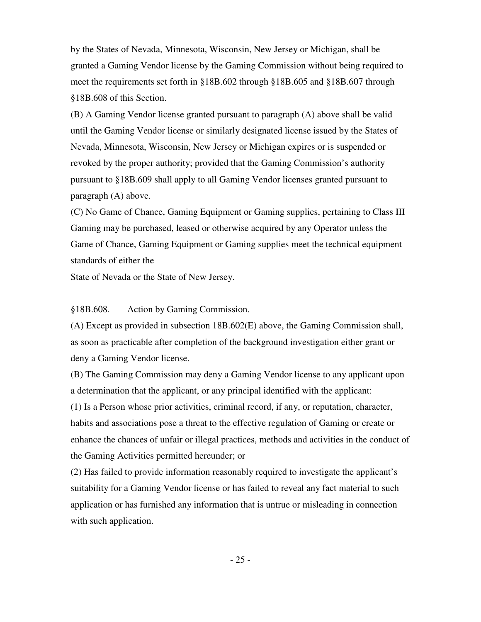by the States of Nevada, Minnesota, Wisconsin, New Jersey or Michigan, shall be granted a Gaming Vendor license by the Gaming Commission without being required to meet the requirements set forth in §18B.602 through §18B.605 and §18B.607 through §18B.608 of this Section.

(B) A Gaming Vendor license granted pursuant to paragraph (A) above shall be valid until the Gaming Vendor license or similarly designated license issued by the States of Nevada, Minnesota, Wisconsin, New Jersey or Michigan expires or is suspended or revoked by the proper authority; provided that the Gaming Commission's authority pursuant to §18B.609 shall apply to all Gaming Vendor licenses granted pursuant to paragraph (A) above.

(C) No Game of Chance, Gaming Equipment or Gaming supplies, pertaining to Class III Gaming may be purchased, leased or otherwise acquired by any Operator unless the Game of Chance, Gaming Equipment or Gaming supplies meet the technical equipment standards of either the

State of Nevada or the State of New Jersey.

§18B.608. Action by Gaming Commission.

(A) Except as provided in subsection 18B.602(E) above, the Gaming Commission shall, as soon as practicable after completion of the background investigation either grant or deny a Gaming Vendor license.

 (B) The Gaming Commission may deny a Gaming Vendor license to any applicant upon a determination that the applicant, or any principal identified with the applicant:

 (1) Is a Person whose prior activities, criminal record, if any, or reputation, character, habits and associations pose a threat to the effective regulation of Gaming or create or enhance the chances of unfair or illegal practices, methods and activities in the conduct of the Gaming Activities permitted hereunder; or

 (2) Has failed to provide information reasonably required to investigate the applicant's suitability for a Gaming Vendor license or has failed to reveal any fact material to such application or has furnished any information that is untrue or misleading in connection with such application.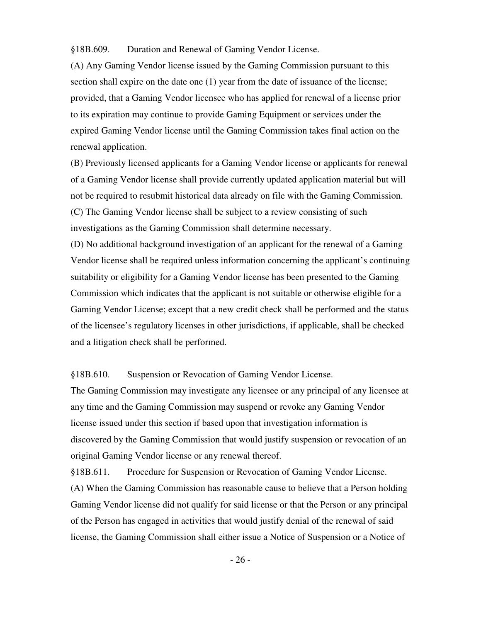§18B.609. Duration and Renewal of Gaming Vendor License.

(A) Any Gaming Vendor license issued by the Gaming Commission pursuant to this section shall expire on the date one (1) year from the date of issuance of the license; provided, that a Gaming Vendor licensee who has applied for renewal of a license prior to its expiration may continue to provide Gaming Equipment or services under the expired Gaming Vendor license until the Gaming Commission takes final action on the renewal application.

(B) Previously licensed applicants for a Gaming Vendor license or applicants for renewal of a Gaming Vendor license shall provide currently updated application material but will not be required to resubmit historical data already on file with the Gaming Commission. (C) The Gaming Vendor license shall be subject to a review consisting of such investigations as the Gaming Commission shall determine necessary.

(D) No additional background investigation of an applicant for the renewal of a Gaming Vendor license shall be required unless information concerning the applicant's continuing suitability or eligibility for a Gaming Vendor license has been presented to the Gaming Commission which indicates that the applicant is not suitable or otherwise eligible for a Gaming Vendor License; except that a new credit check shall be performed and the status of the licensee's regulatory licenses in other jurisdictions, if applicable, shall be checked and a litigation check shall be performed.

§18B.610. Suspension or Revocation of Gaming Vendor License.

 The Gaming Commission may investigate any licensee or any principal of any licensee at any time and the Gaming Commission may suspend or revoke any Gaming Vendor license issued under this section if based upon that investigation information is discovered by the Gaming Commission that would justify suspension or revocation of an original Gaming Vendor license or any renewal thereof.

§18B.611. Procedure for Suspension or Revocation of Gaming Vendor License. (A) When the Gaming Commission has reasonable cause to believe that a Person holding Gaming Vendor license did not qualify for said license or that the Person or any principal of the Person has engaged in activities that would justify denial of the renewal of said license, the Gaming Commission shall either issue a Notice of Suspension or a Notice of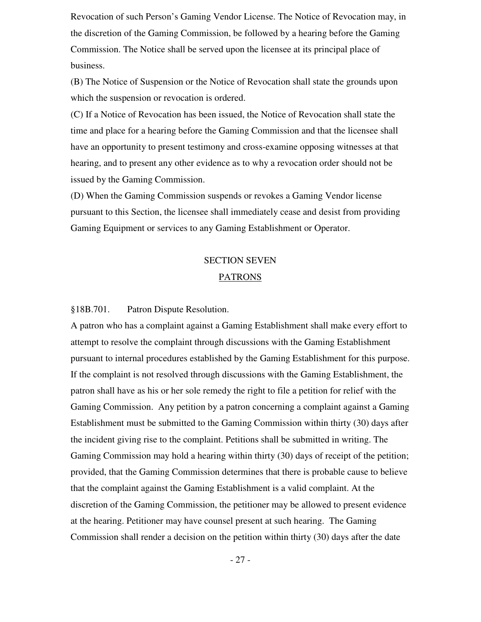Revocation of such Person's Gaming Vendor License. The Notice of Revocation may, in the discretion of the Gaming Commission, be followed by a hearing before the Gaming Commission. The Notice shall be served upon the licensee at its principal place of business.

(B) The Notice of Suspension or the Notice of Revocation shall state the grounds upon which the suspension or revocation is ordered.

(C) If a Notice of Revocation has been issued, the Notice of Revocation shall state the time and place for a hearing before the Gaming Commission and that the licensee shall have an opportunity to present testimony and cross-examine opposing witnesses at that hearing, and to present any other evidence as to why a revocation order should not be issued by the Gaming Commission.

(D) When the Gaming Commission suspends or revokes a Gaming Vendor license pursuant to this Section, the licensee shall immediately cease and desist from providing Gaming Equipment or services to any Gaming Establishment or Operator.

# SECTION SEVEN PATRONS

§18B.701. Patron Dispute Resolution.

A patron who has a complaint against a Gaming Establishment shall make every effort to attempt to resolve the complaint through discussions with the Gaming Establishment pursuant to internal procedures established by the Gaming Establishment for this purpose. If the complaint is not resolved through discussions with the Gaming Establishment, the patron shall have as his or her sole remedy the right to file a petition for relief with the Gaming Commission. Any petition by a patron concerning a complaint against a Gaming Establishment must be submitted to the Gaming Commission within thirty (30) days after the incident giving rise to the complaint. Petitions shall be submitted in writing. The Gaming Commission may hold a hearing within thirty (30) days of receipt of the petition; provided, that the Gaming Commission determines that there is probable cause to believe that the complaint against the Gaming Establishment is a valid complaint. At the discretion of the Gaming Commission, the petitioner may be allowed to present evidence at the hearing. Petitioner may have counsel present at such hearing. The Gaming Commission shall render a decision on the petition within thirty (30) days after the date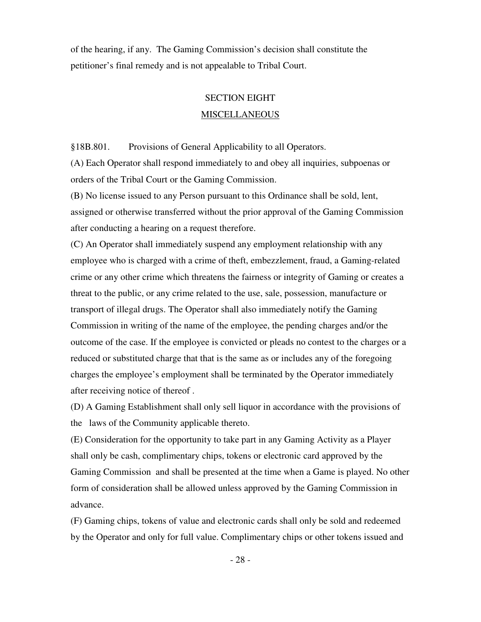of the hearing, if any. The Gaming Commission's decision shall constitute the petitioner's final remedy and is not appealable to Tribal Court.

## SECTION EIGHT **MISCELLANEOUS**

§18B.801. Provisions of General Applicability to all Operators.

(A) Each Operator shall respond immediately to and obey all inquiries, subpoenas or orders of the Tribal Court or the Gaming Commission.

(B) No license issued to any Person pursuant to this Ordinance shall be sold, lent, assigned or otherwise transferred without the prior approval of the Gaming Commission after conducting a hearing on a request therefore.

(C) An Operator shall immediately suspend any employment relationship with any employee who is charged with a crime of theft, embezzlement, fraud, a Gaming-related crime or any other crime which threatens the fairness or integrity of Gaming or creates a threat to the public, or any crime related to the use, sale, possession, manufacture or transport of illegal drugs. The Operator shall also immediately notify the Gaming Commission in writing of the name of the employee, the pending charges and/or the outcome of the case. If the employee is convicted or pleads no contest to the charges or a reduced or substituted charge that that is the same as or includes any of the foregoing charges the employee's employment shall be terminated by the Operator immediately after receiving notice of thereof .

(D) A Gaming Establishment shall only sell liquor in accordance with the provisions of the laws of the Community applicable thereto.

(E) Consideration for the opportunity to take part in any Gaming Activity as a Player shall only be cash, complimentary chips, tokens or electronic card approved by the Gaming Commission and shall be presented at the time when a Game is played. No other form of consideration shall be allowed unless approved by the Gaming Commission in advance.

(F) Gaming chips, tokens of value and electronic cards shall only be sold and redeemed by the Operator and only for full value. Complimentary chips or other tokens issued and

- 28 -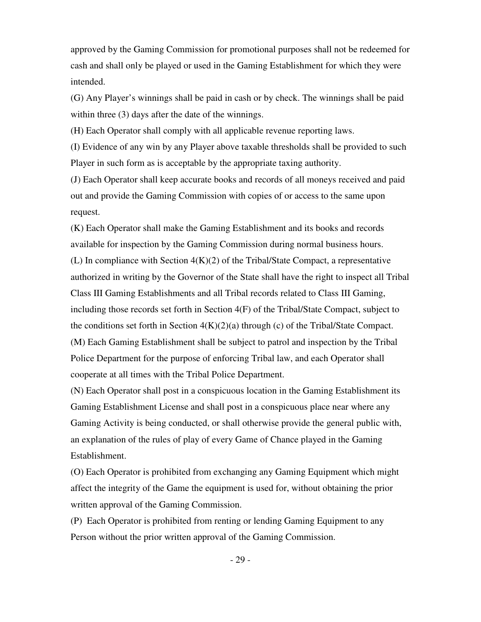approved by the Gaming Commission for promotional purposes shall not be redeemed for cash and shall only be played or used in the Gaming Establishment for which they were intended.

(G) Any Player's winnings shall be paid in cash or by check. The winnings shall be paid within three (3) days after the date of the winnings.

(H) Each Operator shall comply with all applicable revenue reporting laws.

(I) Evidence of any win by any Player above taxable thresholds shall be provided to such Player in such form as is acceptable by the appropriate taxing authority.

(J) Each Operator shall keep accurate books and records of all moneys received and paid out and provide the Gaming Commission with copies of or access to the same upon request.

(K) Each Operator shall make the Gaming Establishment and its books and records available for inspection by the Gaming Commission during normal business hours. (L) In compliance with Section  $4(K)(2)$  of the Tribal/State Compact, a representative authorized in writing by the Governor of the State shall have the right to inspect all Tribal Class III Gaming Establishments and all Tribal records related to Class III Gaming, including those records set forth in Section 4(F) of the Tribal/State Compact, subject to the conditions set forth in Section  $4(K)(2)(a)$  through (c) of the Tribal/State Compact. (M) Each Gaming Establishment shall be subject to patrol and inspection by the Tribal Police Department for the purpose of enforcing Tribal law, and each Operator shall cooperate at all times with the Tribal Police Department.

(N) Each Operator shall post in a conspicuous location in the Gaming Establishment its Gaming Establishment License and shall post in a conspicuous place near where any Gaming Activity is being conducted, or shall otherwise provide the general public with, an explanation of the rules of play of every Game of Chance played in the Gaming Establishment.

(O) Each Operator is prohibited from exchanging any Gaming Equipment which might affect the integrity of the Game the equipment is used for, without obtaining the prior written approval of the Gaming Commission.

(P) Each Operator is prohibited from renting or lending Gaming Equipment to any Person without the prior written approval of the Gaming Commission.

- 29 -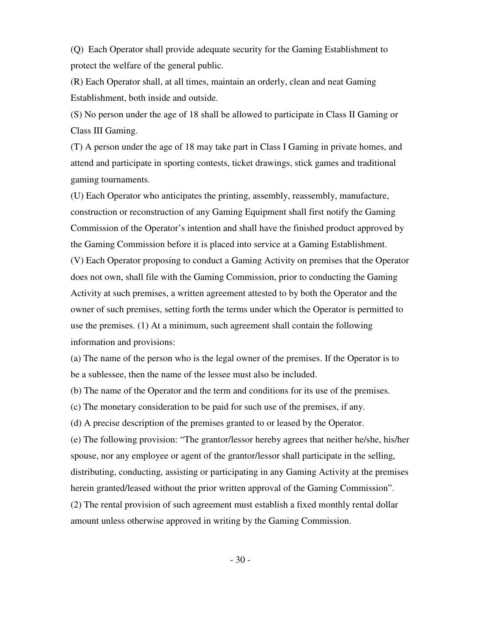(Q) Each Operator shall provide adequate security for the Gaming Establishment to protect the welfare of the general public.

(R) Each Operator shall, at all times, maintain an orderly, clean and neat Gaming Establishment, both inside and outside.

(S) No person under the age of 18 shall be allowed to participate in Class II Gaming or Class III Gaming.

(T) A person under the age of 18 may take part in Class I Gaming in private homes, and attend and participate in sporting contests, ticket drawings, stick games and traditional gaming tournaments.

(U) Each Operator who anticipates the printing, assembly, reassembly, manufacture, construction or reconstruction of any Gaming Equipment shall first notify the Gaming Commission of the Operator's intention and shall have the finished product approved by the Gaming Commission before it is placed into service at a Gaming Establishment. (V) Each Operator proposing to conduct a Gaming Activity on premises that the Operator does not own, shall file with the Gaming Commission, prior to conducting the Gaming Activity at such premises, a written agreement attested to by both the Operator and the owner of such premises, setting forth the terms under which the Operator is permitted to use the premises. (1) At a minimum, such agreement shall contain the following information and provisions:

(a) The name of the person who is the legal owner of the premises. If the Operator is to be a sublessee, then the name of the lessee must also be included.

(b) The name of the Operator and the term and conditions for its use of the premises.

(c) The monetary consideration to be paid for such use of the premises, if any.

(d) A precise description of the premises granted to or leased by the Operator.

(e) The following provision: "The grantor/lessor hereby agrees that neither he/she, his/her spouse, nor any employee or agent of the grantor/lessor shall participate in the selling, distributing, conducting, assisting or participating in any Gaming Activity at the premises herein granted/leased without the prior written approval of the Gaming Commission". (2) The rental provision of such agreement must establish a fixed monthly rental dollar

amount unless otherwise approved in writing by the Gaming Commission.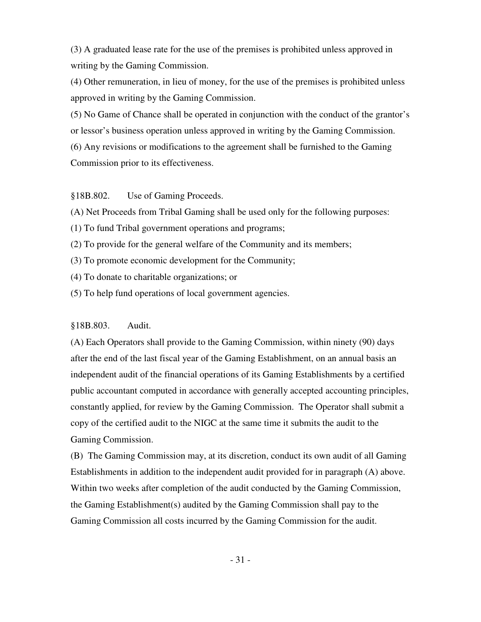(3) A graduated lease rate for the use of the premises is prohibited unless approved in writing by the Gaming Commission.

(4) Other remuneration, in lieu of money, for the use of the premises is prohibited unless approved in writing by the Gaming Commission.

(5) No Game of Chance shall be operated in conjunction with the conduct of the grantor's or lessor's business operation unless approved in writing by the Gaming Commission.

(6) Any revisions or modifications to the agreement shall be furnished to the Gaming Commission prior to its effectiveness.

§18B.802. Use of Gaming Proceeds.

(A) Net Proceeds from Tribal Gaming shall be used only for the following purposes:

- (1) To fund Tribal government operations and programs;
- (2) To provide for the general welfare of the Community and its members;
- (3) To promote economic development for the Community;
- (4) To donate to charitable organizations; or
- (5) To help fund operations of local government agencies.

#### §18B.803. Audit.

(A) Each Operators shall provide to the Gaming Commission, within ninety (90) days after the end of the last fiscal year of the Gaming Establishment, on an annual basis an independent audit of the financial operations of its Gaming Establishments by a certified public accountant computed in accordance with generally accepted accounting principles, constantly applied, for review by the Gaming Commission. The Operator shall submit a copy of the certified audit to the NIGC at the same time it submits the audit to the Gaming Commission.

(B) The Gaming Commission may, at its discretion, conduct its own audit of all Gaming Establishments in addition to the independent audit provided for in paragraph (A) above. Within two weeks after completion of the audit conducted by the Gaming Commission, the Gaming Establishment(s) audited by the Gaming Commission shall pay to the Gaming Commission all costs incurred by the Gaming Commission for the audit.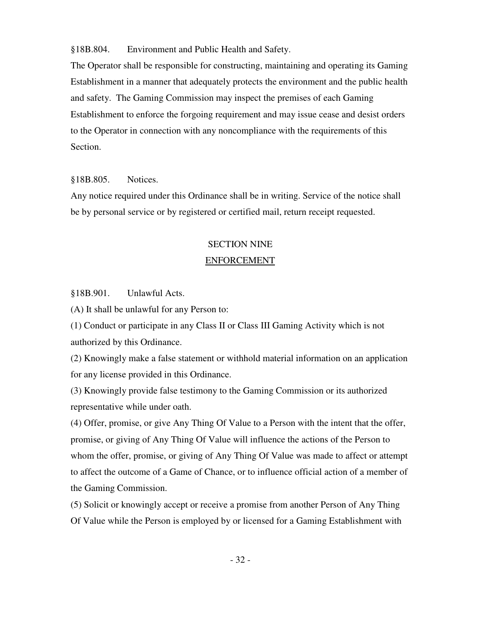§18B.804. Environment and Public Health and Safety.

The Operator shall be responsible for constructing, maintaining and operating its Gaming Establishment in a manner that adequately protects the environment and the public health and safety. The Gaming Commission may inspect the premises of each Gaming Establishment to enforce the forgoing requirement and may issue cease and desist orders to the Operator in connection with any noncompliance with the requirements of this Section.

#### §18B.805. Notices.

Any notice required under this Ordinance shall be in writing. Service of the notice shall be by personal service or by registered or certified mail, return receipt requested.

# SECTION NINE

#### ENFORCEMENT

§18B.901. Unlawful Acts.

(A) It shall be unlawful for any Person to:

(1) Conduct or participate in any Class II or Class III Gaming Activity which is not authorized by this Ordinance.

(2) Knowingly make a false statement or withhold material information on an application for any license provided in this Ordinance.

(3) Knowingly provide false testimony to the Gaming Commission or its authorized representative while under oath.

(4) Offer, promise, or give Any Thing Of Value to a Person with the intent that the offer, promise, or giving of Any Thing Of Value will influence the actions of the Person to whom the offer, promise, or giving of Any Thing Of Value was made to affect or attempt to affect the outcome of a Game of Chance, or to influence official action of a member of the Gaming Commission.

(5) Solicit or knowingly accept or receive a promise from another Person of Any Thing Of Value while the Person is employed by or licensed for a Gaming Establishment with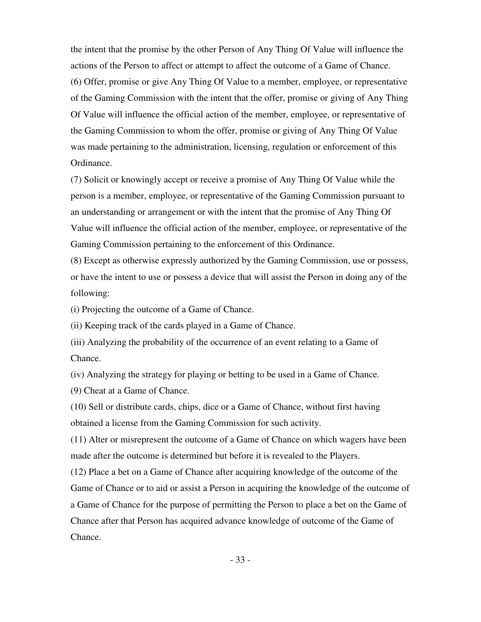the intent that the promise by the other Person of Any Thing Of Value will influence the actions of the Person to affect or attempt to affect the outcome of a Game of Chance. (6) Offer, promise or give Any Thing Of Value to a member, employee, or representative of the Gaming Commission with the intent that the offer, promise or giving of Any Thing Of Value will influence the official action of the member, employee, or representative of the Gaming Commission to whom the offer, promise or giving of Any Thing Of Value was made pertaining to the administration, licensing, regulation or enforcement of this Ordinance.

(7) Solicit or knowingly accept or receive a promise of Any Thing Of Value while the person is a member, employee, or representative of the Gaming Commission pursuant to an understanding or arrangement or with the intent that the promise of Any Thing Of Value will influence the official action of the member, employee, or representative of the Gaming Commission pertaining to the enforcement of this Ordinance.

(8) Except as otherwise expressly authorized by the Gaming Commission, use or possess, or have the intent to use or possess a device that will assist the Person in doing any of the following:

(i) Projecting the outcome of a Game of Chance.

(ii) Keeping track of the cards played in a Game of Chance.

(iii) Analyzing the probability of the occurrence of an event relating to a Game of Chance.

(iv) Analyzing the strategy for playing or betting to be used in a Game of Chance.

(9) Cheat at a Game of Chance.

(10) Sell or distribute cards, chips, dice or a Game of Chance, without first having obtained a license from the Gaming Commission for such activity.

(11) Alter or misrepresent the outcome of a Game of Chance on which wagers have been made after the outcome is determined but before it is revealed to the Players.

(12) Place a bet on a Game of Chance after acquiring knowledge of the outcome of the Game of Chance or to aid or assist a Person in acquiring the knowledge of the outcome of a Game of Chance for the purpose of permitting the Person to place a bet on the Game of Chance after that Person has acquired advance knowledge of outcome of the Game of Chance.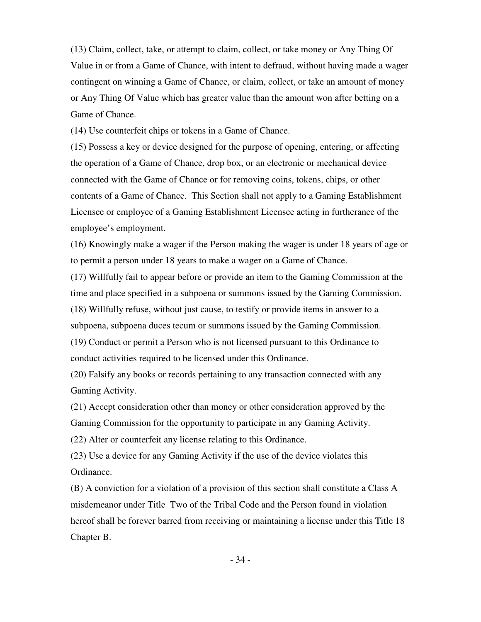(13) Claim, collect, take, or attempt to claim, collect, or take money or Any Thing Of Value in or from a Game of Chance, with intent to defraud, without having made a wager contingent on winning a Game of Chance, or claim, collect, or take an amount of money or Any Thing Of Value which has greater value than the amount won after betting on a Game of Chance.

(14) Use counterfeit chips or tokens in a Game of Chance.

(15) Possess a key or device designed for the purpose of opening, entering, or affecting the operation of a Game of Chance, drop box, or an electronic or mechanical device connected with the Game of Chance or for removing coins, tokens, chips, or other contents of a Game of Chance. This Section shall not apply to a Gaming Establishment Licensee or employee of a Gaming Establishment Licensee acting in furtherance of the employee's employment.

(16) Knowingly make a wager if the Person making the wager is under 18 years of age or to permit a person under 18 years to make a wager on a Game of Chance.

(17) Willfully fail to appear before or provide an item to the Gaming Commission at the time and place specified in a subpoena or summons issued by the Gaming Commission. (18) Willfully refuse, without just cause, to testify or provide items in answer to a subpoena, subpoena duces tecum or summons issued by the Gaming Commission. (19) Conduct or permit a Person who is not licensed pursuant to this Ordinance to conduct activities required to be licensed under this Ordinance.

(20) Falsify any books or records pertaining to any transaction connected with any Gaming Activity.

(21) Accept consideration other than money or other consideration approved by the Gaming Commission for the opportunity to participate in any Gaming Activity.

(22) Alter or counterfeit any license relating to this Ordinance.

(23) Use a device for any Gaming Activity if the use of the device violates this Ordinance.

 (B) A conviction for a violation of a provision of this section shall constitute a Class A misdemeanor under Title Two of the Tribal Code and the Person found in violation hereof shall be forever barred from receiving or maintaining a license under this Title 18 Chapter B.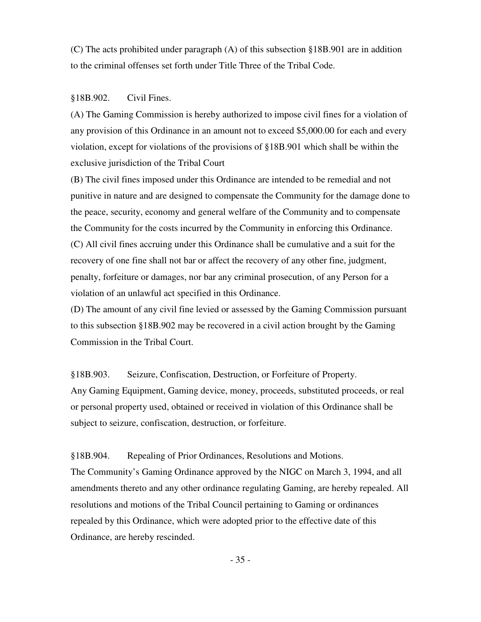(C) The acts prohibited under paragraph (A) of this subsection §18B.901 are in addition to the criminal offenses set forth under Title Three of the Tribal Code.

#### §18B.902. Civil Fines.

(A) The Gaming Commission is hereby authorized to impose civil fines for a violation of any provision of this Ordinance in an amount not to exceed \$5,000.00 for each and every violation, except for violations of the provisions of §18B.901 which shall be within the exclusive jurisdiction of the Tribal Court

(B) The civil fines imposed under this Ordinance are intended to be remedial and not punitive in nature and are designed to compensate the Community for the damage done to the peace, security, economy and general welfare of the Community and to compensate the Community for the costs incurred by the Community in enforcing this Ordinance. (C) All civil fines accruing under this Ordinance shall be cumulative and a suit for the recovery of one fine shall not bar or affect the recovery of any other fine, judgment, penalty, forfeiture or damages, nor bar any criminal prosecution, of any Person for a violation of an unlawful act specified in this Ordinance.

(D) The amount of any civil fine levied or assessed by the Gaming Commission pursuant to this subsection §18B.902 may be recovered in a civil action brought by the Gaming Commission in the Tribal Court.

§18B.903. Seizure, Confiscation, Destruction, or Forfeiture of Property. Any Gaming Equipment, Gaming device, money, proceeds, substituted proceeds, or real or personal property used, obtained or received in violation of this Ordinance shall be subject to seizure, confiscation, destruction, or forfeiture.

§18B.904. Repealing of Prior Ordinances, Resolutions and Motions.

The Community's Gaming Ordinance approved by the NIGC on March 3, 1994, and all amendments thereto and any other ordinance regulating Gaming, are hereby repealed. All resolutions and motions of the Tribal Council pertaining to Gaming or ordinances repealed by this Ordinance, which were adopted prior to the effective date of this Ordinance, are hereby rescinded.